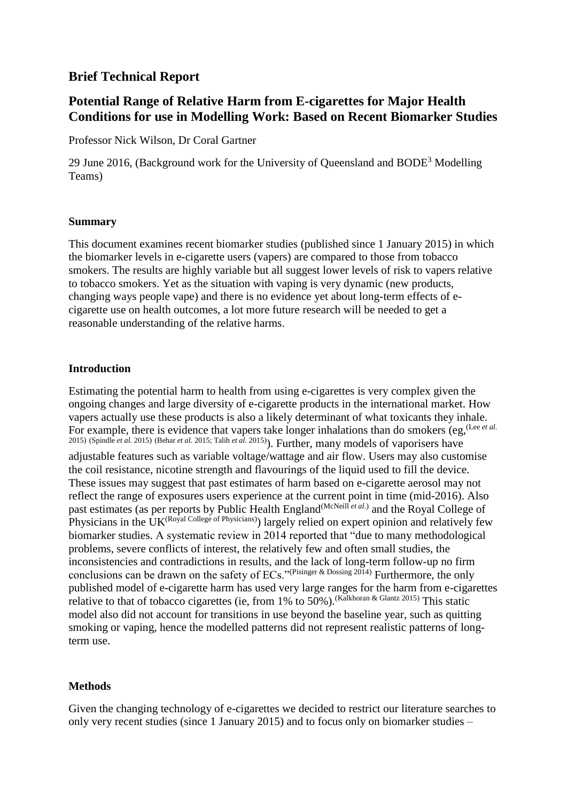## **Brief Technical Report**

# **Potential Range of Relative Harm from E-cigarettes for Major Health Conditions for use in Modelling Work: Based on Recent Biomarker Studies**

Professor Nick Wilson, Dr Coral Gartner

29 June 2016, (Background work for the University of Queensland and BODE<sup>3</sup> Modelling Teams)

### **Summary**

This document examines recent biomarker studies (published since 1 January 2015) in which the biomarker levels in e-cigarette users (vapers) are compared to those from tobacco smokers. The results are highly variable but all suggest lower levels of risk to vapers relative to tobacco smokers. Yet as the situation with vaping is very dynamic (new products, changing ways people vape) and there is no evidence yet about long-term effects of ecigarette use on health outcomes, a lot more future research will be needed to get a reasonable understanding of the relative harms.

## **Introduction**

Estimating the potential harm to health from using e-cigarettes is very complex given the ongoing changes and large diversity of e-cigarette products in the international market. How vapers actually use these products is also a likely determinant of what toxicants they inhale. For example, there is evidence that vapers take longer inhalations than do smokers (eg, <sup>(Lee *[et al.](#page-5-0)*)</sup> [2015\)](#page-5-0) [\(Spindle](#page-6-0) *et al.* 2015) [\(Behar](#page-5-1) *et al.* 2015[; Talih](#page-6-1) *et al.* 2015) ). Further, many models of vaporisers have adjustable features such as variable voltage/wattage and air flow. Users may also customise the coil resistance, nicotine strength and flavourings of the liquid used to fill the device. These issues may suggest that past estimates of harm based on e-cigarette aerosol may not reflect the range of exposures users experience at the current point in time (mid-2016). Also past estimates (as per reports by Public Health England<sup>[\(McNeill](#page-5-2) et al.)</sup> and the Royal College of Physicians in the UK<sup>[\(Royal College of Physicians\)](#page-6-2)</sup>) largely relied on expert opinion and relatively few biomarker studies. A systematic review in 2014 reported that "due to many methodological problems, severe conflicts of interest, the relatively few and often small studies, the inconsistencies and contradictions in results, and the lack of long-term follow-up no firm conclusions can be drawn on the safety of ECs."[\(Pisinger & Dossing 2014\)](#page-6-3) Furthermore, the only published model of e-cigarette harm has used very large ranges for the harm from e-cigarettes relative to that of tobacco cigarettes (ie, from 1% to  $50\%$ ).<sup>[\(Kalkhoran & Glantz 2015\)](#page-5-3)</sup> This static model also did not account for transitions in use beyond the baseline year, such as quitting smoking or vaping, hence the modelled patterns did not represent realistic patterns of longterm use.

## **Methods**

Given the changing technology of e-cigarettes we decided to restrict our literature searches to only very recent studies (since 1 January 2015) and to focus only on biomarker studies –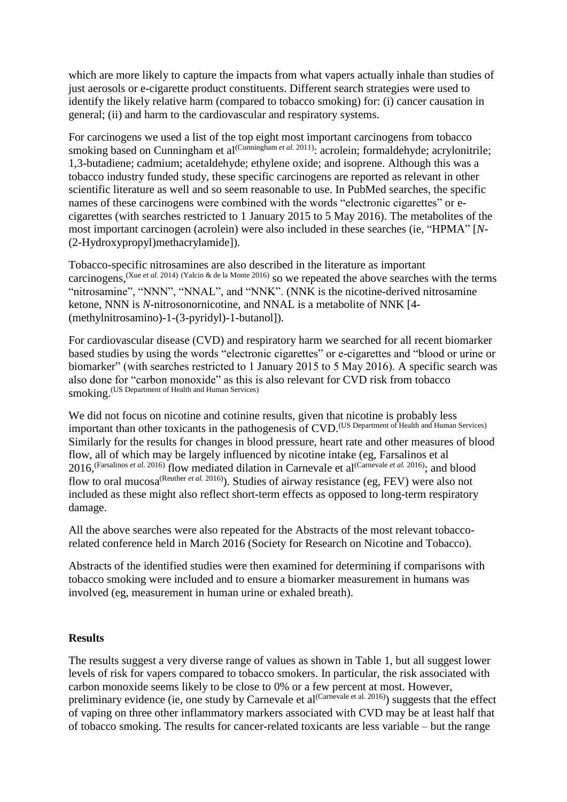which are more likely to capture the impacts from what vapers actually inhale than studies of just aerosols or e-cigarette product constituents. Different search strategies were used to identify the likely relative harm (compared to tobacco smoking) for: (i) cancer causation in general; (ii) and harm to the cardiovascular and respiratory systems.

For carcinogens we used a list of the top eight most important carcinogens from tobacco smoking based on Cunningham et al<sup>[\(Cunningham](#page-5-4) et al. 2011)</sup>: acrolein; formaldehyde; acrylonitrile; 1,3-butadiene; cadmium; acetaldehyde; ethylene oxide; and isoprene. Although this was a tobacco industry funded study, these specific carcinogens are reported as relevant in other scientific literature as well and so seem reasonable to use. In PubMed searches, the specific names of these carcinogens were combined with the words "electronic cigarettes" or ecigarettes (with searches restricted to 1 January 2015 to 5 May 2016). The metabolites of the most important carcinogen (acrolein) were also included in these searches (ie, "HPMA" [*N*- (2-Hydroxypropyl)methacrylamide]).

Tobacco-specific nitrosamines are also described in the literature as important carcinogens, <sup>(Xue *et al.* [2014\)](#page-6-4) [\(Yalcin & de la Monte 2016\)](#page-6-5) so we repeated the above searches with the terms</sup> "nitrosamine", "NNN", "NNAL", and "NNK". (NNK is the nicotine-derived nitrosamine [ketone,](https://en.wikipedia.org/wiki/Nicotine-derived_nitrosamine_ketone) NNN is *N*[-nitrosonornicotine,](https://en.wikipedia.org/wiki/N-Nitrosonornicotine) and NNAL is a metabolite of NNK [\[4-](https://en.wikipedia.org/w/index.php?title=4-(methylnitrosamino)-1-(3-pyridyl)-1-butanol&action=edit&redlink=1) [\(methylnitrosamino\)-1-\(3-pyridyl\)-1-butanol\]](https://en.wikipedia.org/w/index.php?title=4-(methylnitrosamino)-1-(3-pyridyl)-1-butanol&action=edit&redlink=1)).

For cardiovascular disease (CVD) and respiratory harm we searched for all recent biomarker based studies by using the words "electronic cigarettes" or e-cigarettes and "blood or urine or biomarker" (with searches restricted to 1 January 2015 to 5 May 2016). A specific search was also done for "carbon monoxide" as this is also relevant for CVD risk from tobacco smoking. [\(US Department of Health and Human Services\)](#page-6-6)

We did not focus on nicotine and cotinine results, given that nicotine is probably less important than other toxicants in the pathogenesis of CVD. [\(US Department of Health and Human Services\)](#page-6-6) Similarly for the results for changes in blood pressure, heart rate and other measures of blood flow, all of which may be largely influenced by nicotine intake (eg, Farsalinos et al 2016, <sup>[\(Farsalinos](#page-5-5) *et al.* 2016) flow mediated dilation in Carnevale et al<sup>[\(Carnevale](#page-5-6) *et al.* 2016); and blood</sup></sup> flow to oral mucosa<sup>[\(Reuther](#page-6-7) et al. 2016)</sup>). Studies of airway resistance (eg, FEV) were also not included as these might also reflect short-term effects as opposed to long-term respiratory damage.

All the above searches were also repeated for the Abstracts of the most relevant tobaccorelated conference held in March 2016 (Society for Research on Nicotine and Tobacco).

Abstracts of the identified studies were then examined for determining if comparisons with tobacco smoking were included and to ensure a biomarker measurement in humans was involved (eg, measurement in human urine or exhaled breath).

#### **Results**

The results suggest a very diverse range of values as shown in Table 1, but all suggest lower levels of risk for vapers compared to tobacco smokers. In particular, the risk associated with carbon monoxide seems likely to be close to 0% or a few percent at most. However, preliminary evidence (ie, one study by Carnevale et al<sup>[\(Carnevale et al. 2016\)](#page-5-6)</sup>) suggests that the effect of vaping on three other inflammatory markers associated with CVD may be at least half that of tobacco smoking. The results for cancer-related toxicants are less variable – but the range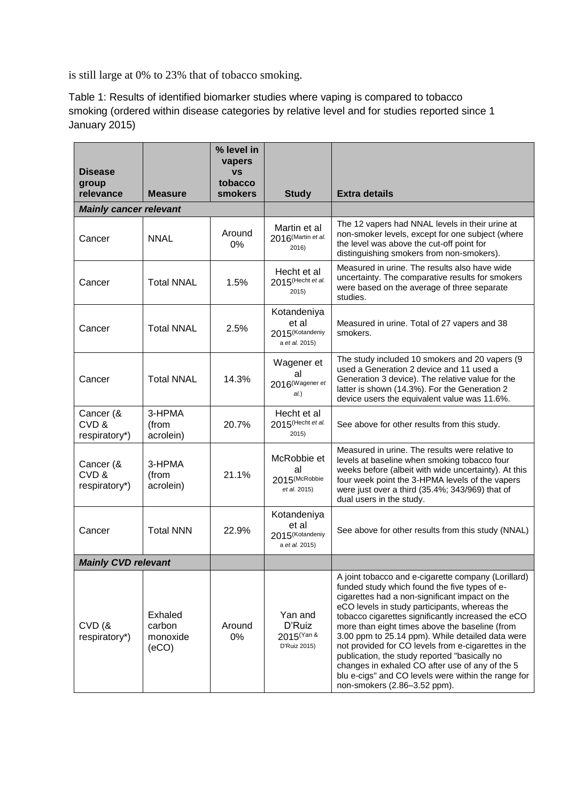is still large at 0% to 23% that of tobacco smoking.

Table 1: Results of identified biomarker studies where vaping is compared to tobacco smoking (ordered within disease categories by relative level and for studies reported since 1 January 2015)

| <b>Disease</b>                     |                                        | % level in<br>vapers<br><b>VS</b> |                                                                       |                                                                                                                                                                                                                                                                                                                                                                                                                                                                                                                                                                                                                       |  |
|------------------------------------|----------------------------------------|-----------------------------------|-----------------------------------------------------------------------|-----------------------------------------------------------------------------------------------------------------------------------------------------------------------------------------------------------------------------------------------------------------------------------------------------------------------------------------------------------------------------------------------------------------------------------------------------------------------------------------------------------------------------------------------------------------------------------------------------------------------|--|
| group<br>relevance                 | <b>Measure</b>                         | tobacco<br><b>smokers</b>         | <b>Study</b>                                                          | <b>Extra details</b>                                                                                                                                                                                                                                                                                                                                                                                                                                                                                                                                                                                                  |  |
| <b>Mainly cancer relevant</b>      |                                        |                                   |                                                                       |                                                                                                                                                                                                                                                                                                                                                                                                                                                                                                                                                                                                                       |  |
| Cancer                             | <b>NNAL</b>                            | Around<br>0%                      | Martin et al<br>2016 (Martin et al.<br>2016)                          | The 12 vapers had NNAL levels in their urine at<br>non-smoker levels, except for one subject (where<br>the level was above the cut-off point for<br>distinguishing smokers from non-smokers).                                                                                                                                                                                                                                                                                                                                                                                                                         |  |
| Cancer                             | <b>Total NNAL</b>                      | 1.5%                              | Hecht et al<br>2015(Hecht et al.<br>2015)                             | Measured in urine. The results also have wide<br>uncertainty. The comparative results for smokers<br>were based on the average of three separate<br>studies.                                                                                                                                                                                                                                                                                                                                                                                                                                                          |  |
| Cancer                             | <b>Total NNAL</b>                      | 2.5%                              | Kotandeniya<br>et al<br>2015 <sup>(Kotandeniy</sup><br>a et al. 2015) | Measured in urine. Total of 27 vapers and 38<br>smokers.                                                                                                                                                                                                                                                                                                                                                                                                                                                                                                                                                              |  |
| Cancer                             | <b>Total NNAL</b>                      | 14.3%                             | Wagener et<br>al<br>2016 <sup>(Wagener et</sup><br>al.)               | The study included 10 smokers and 20 vapers (9<br>used a Generation 2 device and 11 used a<br>Generation 3 device). The relative value for the<br>latter is shown (14.3%). For the Generation 2<br>device users the equivalent value was 11.6%.                                                                                                                                                                                                                                                                                                                                                                       |  |
| Cancer (&<br>CVD&<br>respiratory*) | 3-HPMA<br>(from<br>acrolein)           | 20.7%                             | Hecht et al<br>2015(Hecht et al.<br>2015)                             | See above for other results from this study.                                                                                                                                                                                                                                                                                                                                                                                                                                                                                                                                                                          |  |
| Cancer (&<br>CVD&<br>respiratory*) | 3-HPMA<br>(from<br>acrolein)           | 21.1%                             | McRobbie et<br>al<br>2015(McRobbie<br>et al. 2015)                    | Measured in urine. The results were relative to<br>levels at baseline when smoking tobacco four<br>weeks before (albeit with wide uncertainty). At this<br>four week point the 3-HPMA levels of the vapers<br>were just over a third (35.4%; 343/969) that of<br>dual users in the study.                                                                                                                                                                                                                                                                                                                             |  |
| Cancer                             | <b>Total NNN</b>                       | 22.9%                             | Kotandeniya<br>et al<br>2015 <sup>(Kotandeniy</sup><br>a et al. 2015) | See above for other results from this study (NNAL)                                                                                                                                                                                                                                                                                                                                                                                                                                                                                                                                                                    |  |
| <b>Mainly CVD relevant</b>         |                                        |                                   |                                                                       |                                                                                                                                                                                                                                                                                                                                                                                                                                                                                                                                                                                                                       |  |
| CVD(8)<br>respiratory*)            | Exhaled<br>carbon<br>monoxide<br>(eCO) | Around<br>0%                      | Yan and<br>D'Ruiz<br>2015 <sup>(Yan &amp;</sup><br>D'Ruiz 2015)       | A joint tobacco and e-cigarette company (Lorillard)<br>funded study which found the five types of e-<br>cigarettes had a non-significant impact on the<br>eCO levels in study participants, whereas the<br>tobacco cigarettes significantly increased the eCO<br>more than eight times above the baseline (from<br>3.00 ppm to 25.14 ppm). While detailed data were<br>not provided for CO levels from e-cigarettes in the<br>publication, the study reported "basically no<br>changes in exhaled CO after use of any of the 5<br>blu e-cigs" and CO levels were within the range for<br>non-smokers (2.86-3.52 ppm). |  |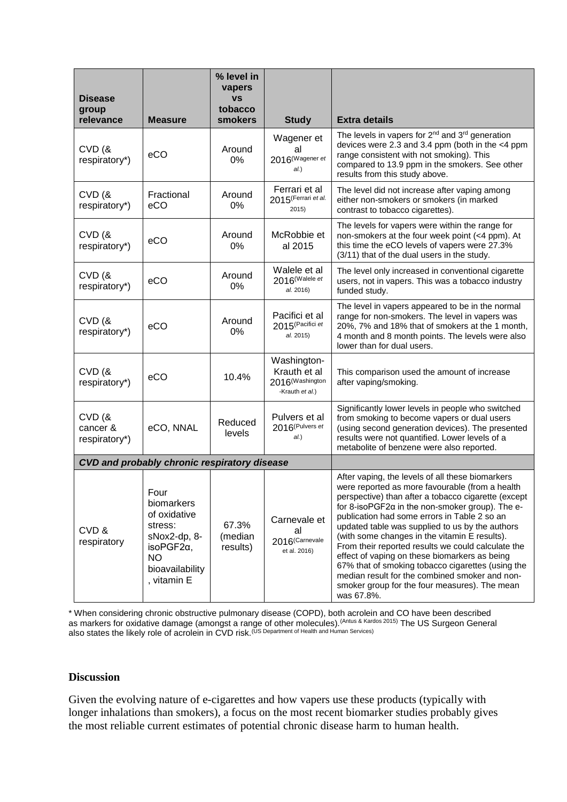| <b>Disease</b><br>group<br>relevance | <b>Measure</b>                                                                                                                     | % level in<br>vapers<br><b>VS</b><br>tobacco<br>smokers | <b>Study</b>                                                                  | <b>Extra details</b>                                                                                                                                                                                                                                                                                                                                                                                                                                                                                                                                                                                                                                   |  |
|--------------------------------------|------------------------------------------------------------------------------------------------------------------------------------|---------------------------------------------------------|-------------------------------------------------------------------------------|--------------------------------------------------------------------------------------------------------------------------------------------------------------------------------------------------------------------------------------------------------------------------------------------------------------------------------------------------------------------------------------------------------------------------------------------------------------------------------------------------------------------------------------------------------------------------------------------------------------------------------------------------------|--|
| CVD(8)<br>respiratory*)              | eCO                                                                                                                                | Around<br>0%                                            | Wagener et<br>al<br>2016 <sup>(Wagener et</sup><br>al.)                       | The levels in vapers for 2 <sup>nd</sup> and 3 <sup>rd</sup> generation<br>devices were 2.3 and 3.4 ppm (both in the <4 ppm<br>range consistent with not smoking). This<br>compared to 13.9 ppm in the smokers. See other<br>results from this study above.                                                                                                                                                                                                                                                                                                                                                                                            |  |
| CVD(8)<br>respiratory*)              | Fractional<br>eCO                                                                                                                  | Around<br>0%                                            | Ferrari et al<br>2015 (Ferrari et al.<br>2015)                                | The level did not increase after vaping among<br>either non-smokers or smokers (in marked<br>contrast to tobacco cigarettes).                                                                                                                                                                                                                                                                                                                                                                                                                                                                                                                          |  |
| CVD(8)<br>respiratory*)              | eCO                                                                                                                                | Around<br>0%                                            | McRobbie et<br>al 2015                                                        | The levels for vapers were within the range for<br>non-smokers at the four week point (<4 ppm). At<br>this time the eCO levels of vapers were 27.3%<br>(3/11) that of the dual users in the study.                                                                                                                                                                                                                                                                                                                                                                                                                                                     |  |
| CVD(8)<br>respiratory*)              | eCO                                                                                                                                | Around<br>0%                                            | Walele et al<br>2016 <sup>(Walele et</sup><br>al. 2016)                       | The level only increased in conventional cigarette<br>users, not in vapers. This was a tobacco industry<br>funded study.                                                                                                                                                                                                                                                                                                                                                                                                                                                                                                                               |  |
| CVD(8)<br>respiratory*)              | eCO                                                                                                                                | Around<br>0%                                            | Pacifici et al<br>2015 <sup>(Pacifici et</sup><br>al. 2015)                   | The level in vapers appeared to be in the normal<br>range for non-smokers. The level in vapers was<br>20%, 7% and 18% that of smokers at the 1 month,<br>4 month and 8 month points. The levels were also<br>lower than for dual users.                                                                                                                                                                                                                                                                                                                                                                                                                |  |
| CVD(8)<br>respiratory*)              | eCO                                                                                                                                | 10.4%                                                   | Washington-<br>Krauth et al<br>2016 <sup>(Washington</sup><br>-Krauth et al.) | This comparison used the amount of increase<br>after vaping/smoking.                                                                                                                                                                                                                                                                                                                                                                                                                                                                                                                                                                                   |  |
| CVD(8)<br>cancer &<br>respiratory*)  | eCO, NNAL                                                                                                                          | Reduced<br>levels                                       | Pulvers et al<br>2016 <sup>(Pulvers et</sup><br>al.)                          | Significantly lower levels in people who switched<br>from smoking to become vapers or dual users<br>(using second generation devices). The presented<br>results were not quantified. Lower levels of a<br>metabolite of benzene were also reported.                                                                                                                                                                                                                                                                                                                                                                                                    |  |
|                                      | <b>CVD and probably chronic respiratory disease</b>                                                                                |                                                         |                                                                               |                                                                                                                                                                                                                                                                                                                                                                                                                                                                                                                                                                                                                                                        |  |
| CVD&<br>respiratory                  | Four<br>biomarkers<br>of oxidative<br>stress:<br>sNox2-dp, 8-<br>isoPGF2 $\alpha$ ,<br><b>NO</b><br>bioavailability<br>, vitamin E | 67.3%<br>(median<br>results)                            | Carnevale et<br>al<br>2016 <sup>(Carnevale</sup><br>et al. 2016)              | After vaping, the levels of all these biomarkers<br>were reported as more favourable (from a health<br>perspective) than after a tobacco cigarette (except<br>for 8-isoPGF2 $\alpha$ in the non-smoker group). The e-<br>publication had some errors in Table 2 so an<br>updated table was supplied to us by the authors<br>(with some changes in the vitamin E results).<br>From their reported results we could calculate the<br>effect of vaping on these biomarkers as being<br>67% that of smoking tobacco cigarettes (using the<br>median result for the combined smoker and non-<br>smoker group for the four measures). The mean<br>was 67.8%. |  |

\* When considering chronic obstructive pulmonary disease (COPD), both acrolein and CO have been described as markers for oxidative damage (amongst a range of other molecules).<sup>[\(Antus & Kardos 2015\)](#page-5-13)</sup> The US Surgeon General also states the likely role of acrolein in CVD risk.<sup>(US Department of Health</sup> and Human Services)

#### **Discussion**

Given the evolving nature of e-cigarettes and how vapers use these products (typically with longer inhalations than smokers), a focus on the most recent biomarker studies probably gives the most reliable current estimates of potential chronic disease harm to human health.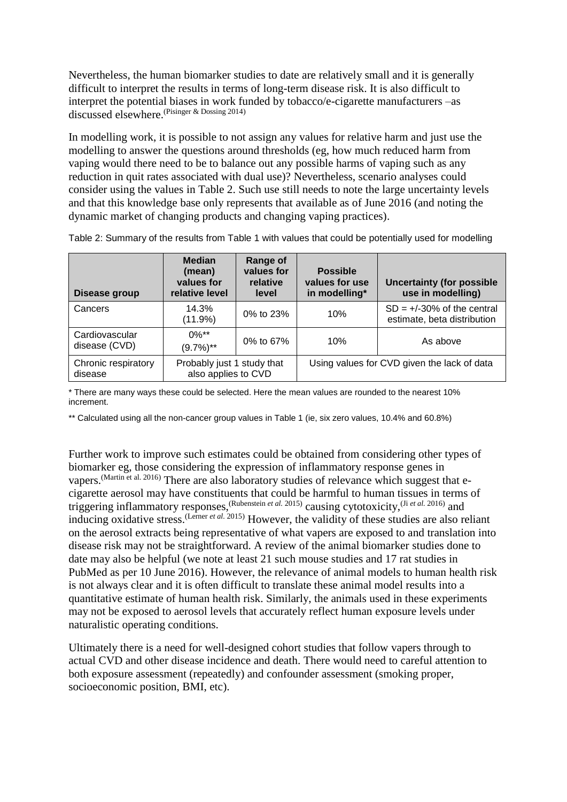Nevertheless, the human biomarker studies to date are relatively small and it is generally difficult to interpret the results in terms of long-term disease risk. It is also difficult to interpret the potential biases in work funded by tobacco/e-cigarette manufacturers –as discussed elsewhere.[\(Pisinger & Dossing 2014\)](#page-6-3)

In modelling work, it is possible to not assign any values for relative harm and just use the modelling to answer the questions around thresholds (eg, how much reduced harm from vaping would there need to be to balance out any possible harms of vaping such as any reduction in quit rates associated with dual use)? Nevertheless, scenario analyses could consider using the values in Table 2. Such use still needs to note the large uncertainty levels and that this knowledge base only represents that available as of June 2016 (and noting the dynamic market of changing products and changing vaping practices).

| Disease group                   | <b>Median</b><br>(mean)<br>values for<br>relative level | Range of<br>values for<br>relative<br>level | <b>Possible</b><br>values for use<br>in modelling* | <b>Uncertainty (for possible</b><br>use in modelling)        |
|---------------------------------|---------------------------------------------------------|---------------------------------------------|----------------------------------------------------|--------------------------------------------------------------|
| Cancers                         | 14.3%<br>(11.9%)                                        | 0% to $23%$                                 | 10%                                                | $SD = +/-30\%$ of the central<br>estimate, beta distribution |
| Cardiovascular<br>disease (CVD) | $0\%**$<br>$(9.7\%)$ **                                 | 0% to 67%                                   | 10%                                                | As above                                                     |
| Chronic respiratory<br>disease  | Probably just 1 study that<br>also applies to CVD       |                                             | Using values for CVD given the lack of data        |                                                              |

Table 2: Summary of the results from Table 1 with values that could be potentially used for modelling

\* There are many ways these could be selected. Here the mean values are rounded to the nearest 10% increment.

\*\* Calculated using all the non-cancer group values in Table 1 (ie, six zero values, 10.4% and 60.8%)

Further work to improve such estimates could be obtained from considering other types of biomarker eg, those considering the expression of inflammatory response genes in vapers.<sup>[\(Martin et al. 2016\)](#page-5-7)</sup> There are also laboratory studies of relevance which suggest that ecigarette aerosol may have constituents that could be harmful to human tissues in terms of triggering inflammatory responses, <sup>[\(Rubenstein](#page-6-13) *et al.* 2015) causing cytotoxicity, <sup>(Ji *et al.* [2016\)](#page-5-14) and</sup></sup> inducing oxidative stress. [\(Lerner](#page-5-15) *et al.* 2015) However, the validity of these studies are also reliant on the aerosol extracts being representative of what vapers are exposed to and translation into disease risk may not be straightforward. A review of the animal biomarker studies done to date may also be helpful (we note at least 21 such mouse studies and 17 rat studies in PubMed as per 10 June 2016). However, the relevance of animal models to human health risk is not always clear and it is often difficult to translate these animal model results into a quantitative estimate of human health risk. Similarly, the animals used in these experiments may not be exposed to aerosol levels that accurately reflect human exposure levels under naturalistic operating conditions.

Ultimately there is a need for well-designed cohort studies that follow vapers through to actual CVD and other disease incidence and death. There would need to careful attention to both exposure assessment (repeatedly) and confounder assessment (smoking proper, socioeconomic position, BMI, etc).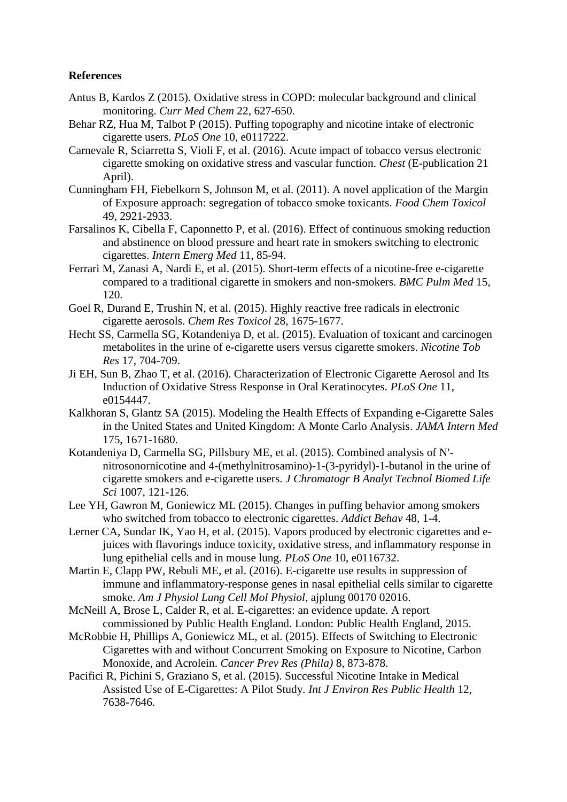### **References**

- <span id="page-5-13"></span>Antus B, Kardos Z (2015). Oxidative stress in COPD: molecular background and clinical monitoring. *Curr Med Chem* 22, 627-650.
- <span id="page-5-1"></span>Behar RZ, Hua M, Talbot P (2015). Puffing topography and nicotine intake of electronic cigarette users. *PLoS One* 10, e0117222.
- <span id="page-5-6"></span>Carnevale R, Sciarretta S, Violi F, et al. (2016). Acute impact of tobacco versus electronic cigarette smoking on oxidative stress and vascular function. *Chest* (E-publication 21 April).
- <span id="page-5-4"></span>Cunningham FH, Fiebelkorn S, Johnson M, et al. (2011). A novel application of the Margin of Exposure approach: segregation of tobacco smoke toxicants. *Food Chem Toxicol* 49, 2921-2933.
- <span id="page-5-5"></span>Farsalinos K, Cibella F, Caponnetto P, et al. (2016). Effect of continuous smoking reduction and abstinence on blood pressure and heart rate in smokers switching to electronic cigarettes. *Intern Emerg Med* 11, 85-94.
- <span id="page-5-11"></span>Ferrari M, Zanasi A, Nardi E, et al. (2015). Short-term effects of a nicotine-free e-cigarette compared to a traditional cigarette in smokers and non-smokers. *BMC Pulm Med* 15, 120.
- Goel R, Durand E, Trushin N, et al. (2015). Highly reactive free radicals in electronic cigarette aerosols. *Chem Res Toxicol* 28, 1675-1677.
- <span id="page-5-8"></span>Hecht SS, Carmella SG, Kotandeniya D, et al. (2015). Evaluation of toxicant and carcinogen metabolites in the urine of e-cigarette users versus cigarette smokers. *Nicotine Tob Res* 17, 704-709.
- <span id="page-5-14"></span>Ji EH, Sun B, Zhao T, et al. (2016). Characterization of Electronic Cigarette Aerosol and Its Induction of Oxidative Stress Response in Oral Keratinocytes. *PLoS One* 11, e0154447.
- <span id="page-5-3"></span>Kalkhoran S, Glantz SA (2015). Modeling the Health Effects of Expanding e-Cigarette Sales in the United States and United Kingdom: A Monte Carlo Analysis. *JAMA Intern Med* 175, 1671-1680.
- <span id="page-5-9"></span>Kotandeniya D, Carmella SG, Pillsbury ME, et al. (2015). Combined analysis of N' nitrosonornicotine and 4-(methylnitrosamino)-1-(3-pyridyl)-1-butanol in the urine of cigarette smokers and e-cigarette users. *J Chromatogr B Analyt Technol Biomed Life Sci* 1007, 121-126.
- <span id="page-5-0"></span>Lee YH, Gawron M, Goniewicz ML (2015). Changes in puffing behavior among smokers who switched from tobacco to electronic cigarettes. *Addict Behav* 48, 1-4.
- <span id="page-5-15"></span>Lerner CA, Sundar IK, Yao H, et al. (2015). Vapors produced by electronic cigarettes and ejuices with flavorings induce toxicity, oxidative stress, and inflammatory response in lung epithelial cells and in mouse lung. *PLoS One* 10, e0116732.
- <span id="page-5-7"></span>Martin E, Clapp PW, Rebuli ME, et al. (2016). E-cigarette use results in suppression of immune and inflammatory-response genes in nasal epithelial cells similar to cigarette smoke. *Am J Physiol Lung Cell Mol Physiol*, ajplung 00170 02016.
- <span id="page-5-2"></span>McNeill A, Brose L, Calder R, et al. E-cigarettes: an evidence update. A report commissioned by Public Health England. London: Public Health England, 2015.
- <span id="page-5-10"></span>McRobbie H, Phillips A, Goniewicz ML, et al. (2015). Effects of Switching to Electronic Cigarettes with and without Concurrent Smoking on Exposure to Nicotine, Carbon Monoxide, and Acrolein. *Cancer Prev Res (Phila)* 8, 873-878.
- <span id="page-5-12"></span>Pacifici R, Pichini S, Graziano S, et al. (2015). Successful Nicotine Intake in Medical Assisted Use of E-Cigarettes: A Pilot Study. *Int J Environ Res Public Health* 12, 7638-7646.